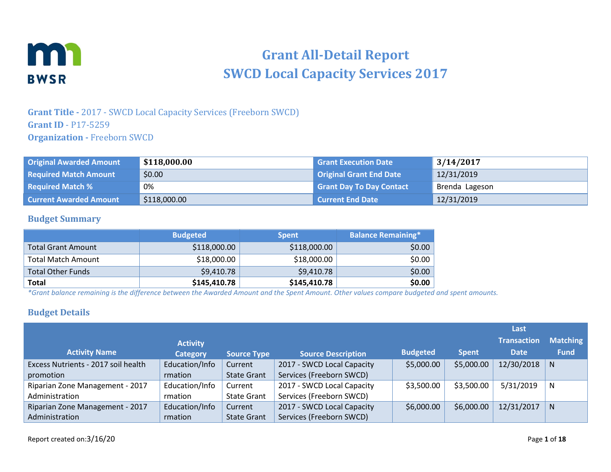

# **Grant All-Detail Report SWCD Local Capacity Services 2017**

### **Grant Title -** 2017 - SWCD Local Capacity Services (Freeborn SWCD) **Grant ID** - P17-5259 **Organization -** Freeborn SWCD

| <b>Original Awarded Amount</b> | \$118,000.00 | <b>Grant Execution Date</b>     | 3/14/2017      |
|--------------------------------|--------------|---------------------------------|----------------|
| <b>Required Match Amount</b>   | \$0.00       | Original Grant End Date         | 12/31/2019     |
| <b>Required Match %</b>        | 0%           | <b>Grant Day To Day Contact</b> | Brenda Lageson |
| <b>Current Awarded Amount</b>  | \$118,000.00 | <b>Current End Date</b>         | 12/31/2019     |

#### **Budget Summary**

|                           | <b>Budgeted</b> | <b>Spent</b> | <b>Balance Remaining*</b> |
|---------------------------|-----------------|--------------|---------------------------|
| <b>Total Grant Amount</b> | \$118,000.00    | \$118,000.00 | \$0.00                    |
| <b>Total Match Amount</b> | \$18,000.00     | \$18,000.00  | \$0.00                    |
| <b>Total Other Funds</b>  | \$9,410.78      | \$9,410.78   | \$0.00                    |
| <b>Total</b>              | \$145,410.78    | \$145,410.78 | \$0.00                    |

*\*Grant balance remaining is the difference between the Awarded Amount and the Spent Amount. Other values compare budgeted and spent amounts.*

#### **Budget Details**

|                                     |                 |                    |                            |                 |              | Last               |                 |
|-------------------------------------|-----------------|--------------------|----------------------------|-----------------|--------------|--------------------|-----------------|
|                                     | <b>Activity</b> |                    |                            |                 |              | <b>Transaction</b> | <b>Matching</b> |
| <b>Activity Name</b>                | <b>Category</b> | <b>Source Type</b> | <b>Source Description</b>  | <b>Budgeted</b> | <b>Spent</b> | <b>Date</b>        | <b>Fund</b>     |
| Excess Nutrients - 2017 soil health | Education/Info  | Current            | 2017 - SWCD Local Capacity | \$5,000.00      | \$5,000.00   | 12/30/2018         | N.              |
| promotion                           | rmation         | <b>State Grant</b> | Services (Freeborn SWCD)   |                 |              |                    |                 |
| Riparian Zone Management - 2017     | Education/Info  | Current            | 2017 - SWCD Local Capacity | \$3,500.00      | \$3,500.00   | 5/31/2019          | N               |
| Administration                      | rmation         | <b>State Grant</b> | Services (Freeborn SWCD)   |                 |              |                    |                 |
| Riparian Zone Management - 2017     | Education/Info  | Current            | 2017 - SWCD Local Capacity | \$6,000.00      | \$6,000.00   | 12/31/2017         | N.              |
| Administration                      | rmation         | <b>State Grant</b> | Services (Freeborn SWCD)   |                 |              |                    |                 |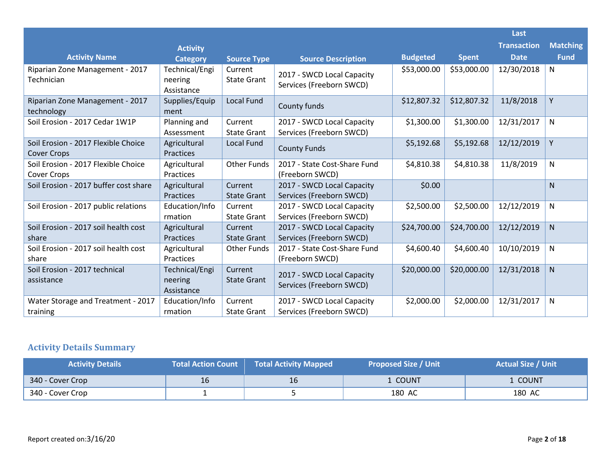|                                                           |                                         |                               |                                                        |                 |              | Last               |                 |
|-----------------------------------------------------------|-----------------------------------------|-------------------------------|--------------------------------------------------------|-----------------|--------------|--------------------|-----------------|
|                                                           | <b>Activity</b>                         |                               |                                                        |                 |              | <b>Transaction</b> | <b>Matching</b> |
| <b>Activity Name</b>                                      | <b>Category</b>                         | <b>Source Type</b>            | <b>Source Description</b>                              | <b>Budgeted</b> | <b>Spent</b> | <b>Date</b>        | <b>Fund</b>     |
| Riparian Zone Management - 2017<br>Technician             | Technical/Engi<br>neering<br>Assistance | Current<br><b>State Grant</b> | 2017 - SWCD Local Capacity<br>Services (Freeborn SWCD) | \$53,000.00     | \$53,000.00  | 12/30/2018         | N               |
| Riparian Zone Management - 2017<br>technology             | Supplies/Equip<br>ment                  | <b>Local Fund</b>             | County funds                                           | \$12,807.32     | \$12,807.32  | 11/8/2018          | Y               |
| Soil Erosion - 2017 Cedar 1W1P                            | Planning and<br>Assessment              | Current<br><b>State Grant</b> | 2017 - SWCD Local Capacity<br>Services (Freeborn SWCD) | \$1,300.00      | \$1,300.00   | 12/31/2017         | N               |
| Soil Erosion - 2017 Flexible Choice<br><b>Cover Crops</b> | Agricultural<br>Practices               | <b>Local Fund</b>             | <b>County Funds</b>                                    | \$5,192.68      | \$5,192.68   | 12/12/2019         | Y               |
| Soil Erosion - 2017 Flexible Choice<br>Cover Crops        | Agricultural<br>Practices               | <b>Other Funds</b>            | 2017 - State Cost-Share Fund<br>(Freeborn SWCD)        | \$4,810.38      | \$4,810.38   | 11/8/2019          | N               |
| Soil Erosion - 2017 buffer cost share                     | Agricultural<br>Practices               | Current<br><b>State Grant</b> | 2017 - SWCD Local Capacity<br>Services (Freeborn SWCD) | \$0.00          |              |                    | N               |
| Soil Erosion - 2017 public relations                      | Education/Info<br>rmation               | Current<br><b>State Grant</b> | 2017 - SWCD Local Capacity<br>Services (Freeborn SWCD) | \$2,500.00      | \$2,500.00   | 12/12/2019         | N               |
| Soil Erosion - 2017 soil health cost<br>share             | Agricultural<br><b>Practices</b>        | Current<br><b>State Grant</b> | 2017 - SWCD Local Capacity<br>Services (Freeborn SWCD) | \$24,700.00     | \$24,700.00  | 12/12/2019         | ${\sf N}$       |
| Soil Erosion - 2017 soil health cost<br>share             | Agricultural<br>Practices               | <b>Other Funds</b>            | 2017 - State Cost-Share Fund<br>(Freeborn SWCD)        | \$4,600.40      | \$4,600.40   | 10/10/2019         | N               |
| Soil Erosion - 2017 technical<br>assistance               | Technical/Engi<br>neering<br>Assistance | Current<br><b>State Grant</b> | 2017 - SWCD Local Capacity<br>Services (Freeborn SWCD) | \$20,000.00     | \$20,000.00  | 12/31/2018         | N               |
| Water Storage and Treatment - 2017<br>training            | Education/Info<br>rmation               | Current<br><b>State Grant</b> | 2017 - SWCD Local Capacity<br>Services (Freeborn SWCD) | \$2,000.00      | \$2,000.00   | 12/31/2017         | N               |

# **Activity Details Summary**

| <b>Activity Details</b> | <b>Total Action Count</b> | <b>Total Activity Mapped</b> | <b>Proposed Size / Unit</b> | <b>Actual Size / Unit</b> |
|-------------------------|---------------------------|------------------------------|-----------------------------|---------------------------|
| 340 - Cover Crop        | 16                        | 16                           | . COUNT                     | . COUNT                   |
| 340 - Cover Crop        |                           |                              | 180 AC                      | 180 AC                    |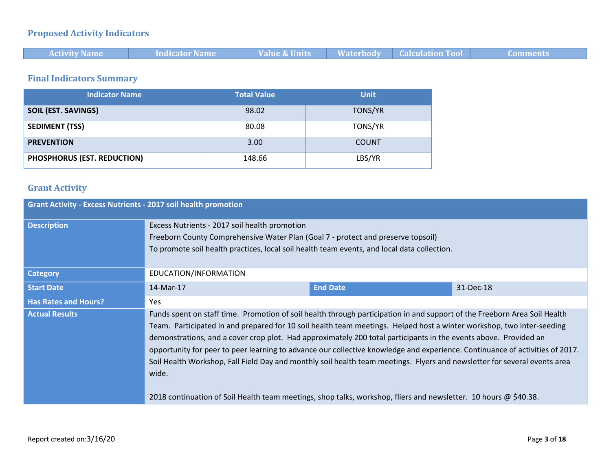# **Proposed Activity Indicators**

| <b>Activity Name</b> | muicator Name | 17. I | <b>Calculation Too</b> |  |
|----------------------|---------------|-------|------------------------|--|

### **Final Indicators Summary**

| <b>Indicator Name</b>       | <b>Total Value</b> | <b>Unit</b>  |
|-----------------------------|--------------------|--------------|
| <b>SOIL (EST. SAVINGS)</b>  | 98.02              | TONS/YR      |
| <b>SEDIMENT (TSS)</b>       | 80.08              | TONS/YR      |
| <b>PREVENTION</b>           | 3.00               | <b>COUNT</b> |
| PHOSPHORUS (EST. REDUCTION) | 148.66             | LBS/YR       |

### **Grant Activity**

| <b>Grant Activity - Excess Nutrients - 2017 soil health promotion</b> |                                                                                                                                                                                                                                                                                                                                                                                                                                                                                                                                                                                                                                                                                                                                                                  |                 |           |  |  |
|-----------------------------------------------------------------------|------------------------------------------------------------------------------------------------------------------------------------------------------------------------------------------------------------------------------------------------------------------------------------------------------------------------------------------------------------------------------------------------------------------------------------------------------------------------------------------------------------------------------------------------------------------------------------------------------------------------------------------------------------------------------------------------------------------------------------------------------------------|-----------------|-----------|--|--|
| <b>Description</b>                                                    | Excess Nutrients - 2017 soil health promotion<br>Freeborn County Comprehensive Water Plan (Goal 7 - protect and preserve topsoil)<br>To promote soil health practices, local soil health team events, and local data collection.                                                                                                                                                                                                                                                                                                                                                                                                                                                                                                                                 |                 |           |  |  |
| <b>Category</b>                                                       | EDUCATION/INFORMATION                                                                                                                                                                                                                                                                                                                                                                                                                                                                                                                                                                                                                                                                                                                                            |                 |           |  |  |
| <b>Start Date</b>                                                     | 14-Mar-17                                                                                                                                                                                                                                                                                                                                                                                                                                                                                                                                                                                                                                                                                                                                                        | <b>End Date</b> | 31-Dec-18 |  |  |
| <b>Has Rates and Hours?</b>                                           | <b>Yes</b>                                                                                                                                                                                                                                                                                                                                                                                                                                                                                                                                                                                                                                                                                                                                                       |                 |           |  |  |
| <b>Actual Results</b>                                                 | Funds spent on staff time. Promotion of soil health through participation in and support of the Freeborn Area Soil Health<br>Team. Participated in and prepared for 10 soil health team meetings. Helped host a winter workshop, two inter-seeding<br>demonstrations, and a cover crop plot. Had approximately 200 total participants in the events above. Provided an<br>opportunity for peer to peer learning to advance our collective knowledge and experience. Continuance of activities of 2017.<br>Soil Health Workshop, Fall Field Day and monthly soil health team meetings. Flyers and newsletter for several events area<br>wide.<br>2018 continuation of Soil Health team meetings, shop talks, workshop, fliers and newsletter. 10 hours @ \$40.38. |                 |           |  |  |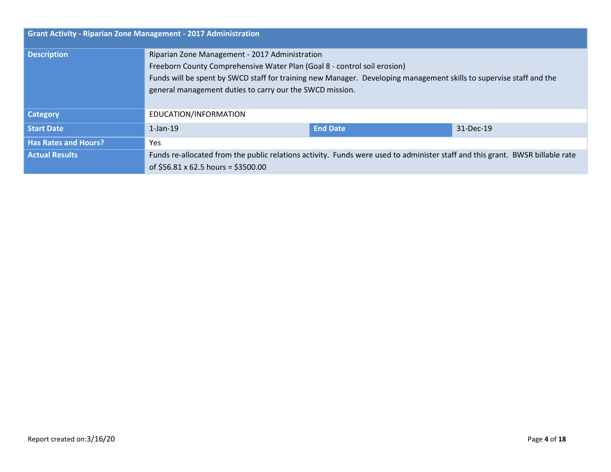| <b>Grant Activity - Riparian Zone Management - 2017 Administration</b> |                                                                                                                                                                                 |                 |           |  |
|------------------------------------------------------------------------|---------------------------------------------------------------------------------------------------------------------------------------------------------------------------------|-----------------|-----------|--|
| <b>Description</b>                                                     | Riparian Zone Management - 2017 Administration<br>Freeborn County Comprehensive Water Plan (Goal 8 - control soil erosion)                                                      |                 |           |  |
|                                                                        | Funds will be spent by SWCD staff for training new Manager. Developing management skills to supervise staff and the<br>general management duties to carry our the SWCD mission. |                 |           |  |
| <b>Category</b>                                                        | EDUCATION/INFORMATION                                                                                                                                                           |                 |           |  |
| <b>Start Date</b>                                                      | $1$ -Jan-19                                                                                                                                                                     | <b>End Date</b> | 31-Dec-19 |  |
| <b>Has Rates and Hours?</b>                                            | Yes.                                                                                                                                                                            |                 |           |  |
| <b>Actual Results</b>                                                  | Funds re-allocated from the public relations activity. Funds were used to administer staff and this grant. BWSR billable rate<br>of \$56.81 x 62.5 hours = \$3500.00            |                 |           |  |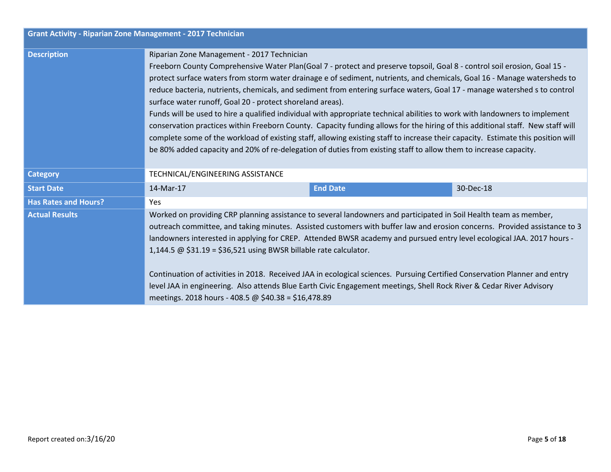| <b>Grant Activity - Riparian Zone Management - 2017 Technician</b> |                                                                                                                                                                                                                                                                                                                                                                                                                                                                                                                                                                                                                                                                                                                                                                                                                                                                                                                                                                                                                       |                 |           |
|--------------------------------------------------------------------|-----------------------------------------------------------------------------------------------------------------------------------------------------------------------------------------------------------------------------------------------------------------------------------------------------------------------------------------------------------------------------------------------------------------------------------------------------------------------------------------------------------------------------------------------------------------------------------------------------------------------------------------------------------------------------------------------------------------------------------------------------------------------------------------------------------------------------------------------------------------------------------------------------------------------------------------------------------------------------------------------------------------------|-----------------|-----------|
| <b>Description</b>                                                 | Riparian Zone Management - 2017 Technician<br>Freeborn County Comprehensive Water Plan(Goal 7 - protect and preserve topsoil, Goal 8 - control soil erosion, Goal 15 -<br>protect surface waters from storm water drainage e of sediment, nutrients, and chemicals, Goal 16 - Manage watersheds to<br>reduce bacteria, nutrients, chemicals, and sediment from entering surface waters, Goal 17 - manage watershed s to control<br>surface water runoff, Goal 20 - protect shoreland areas).<br>Funds will be used to hire a qualified individual with appropriate technical abilities to work with landowners to implement<br>conservation practices within Freeborn County. Capacity funding allows for the hiring of this additional staff. New staff will<br>complete some of the workload of existing staff, allowing existing staff to increase their capacity. Estimate this position will<br>be 80% added capacity and 20% of re-delegation of duties from existing staff to allow them to increase capacity. |                 |           |
| <b>Category</b>                                                    | TECHNICAL/ENGINEERING ASSISTANCE                                                                                                                                                                                                                                                                                                                                                                                                                                                                                                                                                                                                                                                                                                                                                                                                                                                                                                                                                                                      |                 |           |
| <b>Start Date</b>                                                  | 14-Mar-17                                                                                                                                                                                                                                                                                                                                                                                                                                                                                                                                                                                                                                                                                                                                                                                                                                                                                                                                                                                                             | <b>End Date</b> | 30-Dec-18 |
| <b>Has Rates and Hours?</b>                                        | <b>Yes</b>                                                                                                                                                                                                                                                                                                                                                                                                                                                                                                                                                                                                                                                                                                                                                                                                                                                                                                                                                                                                            |                 |           |
| <b>Actual Results</b>                                              | Worked on providing CRP planning assistance to several landowners and participated in Soil Health team as member,<br>outreach committee, and taking minutes. Assisted customers with buffer law and erosion concerns. Provided assistance to 3<br>landowners interested in applying for CREP. Attended BWSR academy and pursued entry level ecological JAA. 2017 hours -<br>1,144.5 $\omega$ \$31.19 = \$36,521 using BWSR billable rate calculator.<br>Continuation of activities in 2018. Received JAA in ecological sciences. Pursuing Certified Conservation Planner and entry<br>level JAA in engineering. Also attends Blue Earth Civic Engagement meetings, Shell Rock River & Cedar River Advisory<br>meetings. 2018 hours - 408.5 @ \$40.38 = \$16,478.89                                                                                                                                                                                                                                                    |                 |           |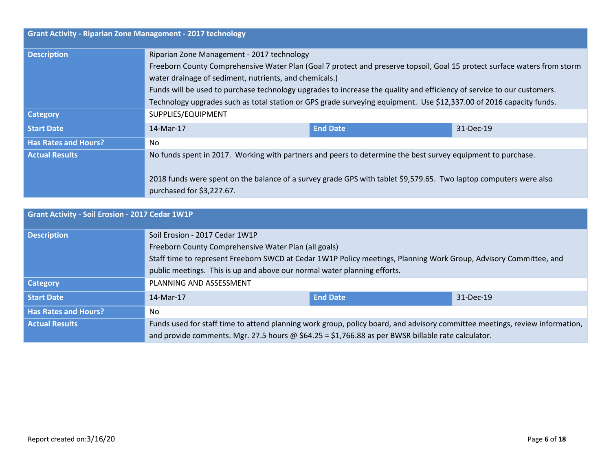| <b>Grant Activity - Riparian Zone Management - 2017 technology</b> |                                                                                                                                                                                                                                                               |                 |           |  |
|--------------------------------------------------------------------|---------------------------------------------------------------------------------------------------------------------------------------------------------------------------------------------------------------------------------------------------------------|-----------------|-----------|--|
| <b>Description</b>                                                 | Riparian Zone Management - 2017 technology                                                                                                                                                                                                                    |                 |           |  |
|                                                                    | Freeborn County Comprehensive Water Plan (Goal 7 protect and preserve topsoil, Goal 15 protect surface waters from storm                                                                                                                                      |                 |           |  |
|                                                                    | water drainage of sediment, nutrients, and chemicals.)                                                                                                                                                                                                        |                 |           |  |
|                                                                    | Funds will be used to purchase technology upgrades to increase the quality and efficiency of service to our customers.                                                                                                                                        |                 |           |  |
|                                                                    | Technology upgrades such as total station or GPS grade surveying equipment. Use \$12,337.00 of 2016 capacity funds.                                                                                                                                           |                 |           |  |
| <b>Category</b>                                                    | SUPPLIES/EQUIPMENT                                                                                                                                                                                                                                            |                 |           |  |
| <b>Start Date</b>                                                  | 14-Mar-17                                                                                                                                                                                                                                                     | <b>End Date</b> | 31-Dec-19 |  |
| <b>Has Rates and Hours?</b>                                        | No.                                                                                                                                                                                                                                                           |                 |           |  |
| <b>Actual Results</b>                                              | No funds spent in 2017. Working with partners and peers to determine the best survey equipment to purchase.<br>2018 funds were spent on the balance of a survey grade GPS with tablet \$9,579.65. Two laptop computers were also<br>purchased for \$3,227.67. |                 |           |  |

| Grant Activity - Soil Erosion - 2017 Cedar 1W1P |                                                                                                                             |                 |           |  |
|-------------------------------------------------|-----------------------------------------------------------------------------------------------------------------------------|-----------------|-----------|--|
| <b>Description</b>                              | Soil Erosion - 2017 Cedar 1W1P                                                                                              |                 |           |  |
|                                                 | Freeborn County Comprehensive Water Plan (all goals)                                                                        |                 |           |  |
|                                                 | Staff time to represent Freeborn SWCD at Cedar 1W1P Policy meetings, Planning Work Group, Advisory Committee, and           |                 |           |  |
|                                                 | public meetings. This is up and above our normal water planning efforts.                                                    |                 |           |  |
| Category                                        | PLANNING AND ASSESSMENT                                                                                                     |                 |           |  |
| <b>Start Date</b>                               | 14-Mar-17                                                                                                                   | <b>End Date</b> | 31-Dec-19 |  |
| <b>Has Rates and Hours?</b>                     | No.                                                                                                                         |                 |           |  |
| <b>Actual Results</b>                           | Funds used for staff time to attend planning work group, policy board, and advisory committee meetings, review information, |                 |           |  |
|                                                 | and provide comments. Mgr. 27.5 hours @ $$64.25 = $1,766.88$ as per BWSR billable rate calculator.                          |                 |           |  |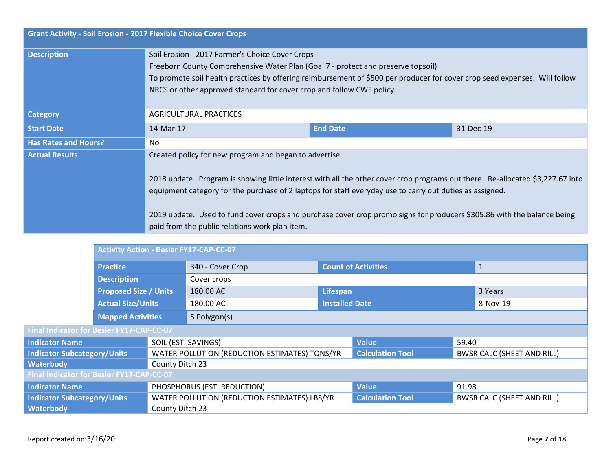| <b>Grant Activity - Soil Erosion - 2017 Flexible Choice Cover Crops</b> |                                                                                                                                                                                                                                                                                                                                                                                                                                                                                   |                 |           |  |  |
|-------------------------------------------------------------------------|-----------------------------------------------------------------------------------------------------------------------------------------------------------------------------------------------------------------------------------------------------------------------------------------------------------------------------------------------------------------------------------------------------------------------------------------------------------------------------------|-----------------|-----------|--|--|
| <b>Description</b>                                                      | Soil Erosion - 2017 Farmer's Choice Cover Crops<br>Freeborn County Comprehensive Water Plan (Goal 7 - protect and preserve topsoil)<br>To promote soil health practices by offering reimbursement of \$500 per producer for cover crop seed expenses. Will follow<br>NRCS or other approved standard for cover crop and follow CWF policy.                                                                                                                                        |                 |           |  |  |
| <b>Category</b>                                                         | AGRICULTURAL PRACTICES                                                                                                                                                                                                                                                                                                                                                                                                                                                            |                 |           |  |  |
| <b>Start Date</b>                                                       | 14-Mar-17                                                                                                                                                                                                                                                                                                                                                                                                                                                                         | <b>End Date</b> | 31-Dec-19 |  |  |
| <b>Has Rates and Hours?</b>                                             | No.                                                                                                                                                                                                                                                                                                                                                                                                                                                                               |                 |           |  |  |
| <b>Actual Results</b>                                                   | Created policy for new program and began to advertise.<br>2018 update. Program is showing little interest with all the other cover crop programs out there. Re-allocated \$3,227.67 into<br>equipment category for the purchase of 2 laptops for staff everyday use to carry out duties as assigned.<br>2019 update. Used to fund cover crops and purchase cover crop promo signs for producers \$305.86 with the balance being<br>paid from the public relations work plan item. |                 |           |  |  |
| <b>Activity Action - Besier FY17-CAP-CC-07</b>                          |                                                                                                                                                                                                                                                                                                                                                                                                                                                                                   |                 |           |  |  |

| ACUVILY ACUON - DESIER FYIZ-CAP-CC-07            |                  |                            |          |  |  |
|--------------------------------------------------|------------------|----------------------------|----------|--|--|
| <b>Practice</b>                                  | 340 - Cover Crop | <b>Count of Activities</b> |          |  |  |
| <b>Description</b>                               | Cover crops      |                            |          |  |  |
| <b>Proposed Size / Units</b>                     | 180.00 AC        | Lifespan                   | 3 Years  |  |  |
| <b>Actual Size/Units</b>                         | 180.00 AC        | <b>Installed Date</b>      | 8-Nov-19 |  |  |
| <b>Mapped Activities</b>                         | 5 Polygon(s)     |                            |          |  |  |
| <b>Final Indicator for Besier FY17-CAP-CC-07</b> |                  |                            |          |  |  |

| Indicator Name                                   | SOIL (EST. SAVINGS)                           | <b>Value</b>            | 59.40                             |  |  |
|--------------------------------------------------|-----------------------------------------------|-------------------------|-----------------------------------|--|--|
| Indicator Subcategory/Units                      | WATER POLLUTION (REDUCTION ESTIMATES) TONS/YR | <b>Calculation Tool</b> | <b>BWSR CALC (SHEET AND RILL)</b> |  |  |
| <b>Waterbody</b>                                 | County Ditch 23                               |                         |                                   |  |  |
| <b>Final Indicator for Besier FY17-CAP-CC-07</b> |                                               |                         |                                   |  |  |
| Indicator Name                                   | PHOSPHORUS (EST. REDUCTION)                   | <b>Value</b>            | 91.98                             |  |  |
| Indicator Subcategory/Units                      | WATER POLLUTION (REDUCTION ESTIMATES) LBS/YR  | <b>Calculation Tool</b> | <b>BWSR CALC (SHEET AND RILL)</b> |  |  |
| <b>Waterbody</b>                                 | County Ditch 23                               |                         |                                   |  |  |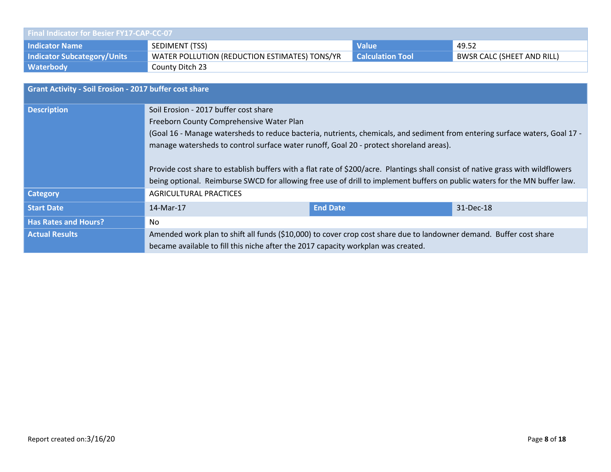| <b>Final Indicator for Besier FY17-CAP-CC-07</b> |                                               |                         |                                   |  |
|--------------------------------------------------|-----------------------------------------------|-------------------------|-----------------------------------|--|
| <b>Indicator Name</b>                            | SEDIMENT (TSS)                                | <b>Value</b>            | 49.52                             |  |
| <b>Indicator Subcategory/Units</b>               | WATER POLLUTION (REDUCTION ESTIMATES) TONS/YR | <b>Calculation Tool</b> | <b>BWSR CALC (SHEET AND RILL)</b> |  |
| Waterbody                                        | County Ditch 23                               |                         |                                   |  |

| <b>Grant Activity - Soil Erosion - 2017 buffer cost share</b> |                                                                                                                                  |                 |           |  |  |
|---------------------------------------------------------------|----------------------------------------------------------------------------------------------------------------------------------|-----------------|-----------|--|--|
| <b>Description</b>                                            | Soil Erosion - 2017 buffer cost share                                                                                            |                 |           |  |  |
|                                                               | Freeborn County Comprehensive Water Plan                                                                                         |                 |           |  |  |
|                                                               | (Goal 16 - Manage watersheds to reduce bacteria, nutrients, chemicals, and sediment from entering surface waters, Goal 17 -      |                 |           |  |  |
|                                                               | manage watersheds to control surface water runoff, Goal 20 - protect shoreland areas).                                           |                 |           |  |  |
|                                                               |                                                                                                                                  |                 |           |  |  |
|                                                               | Provide cost share to establish buffers with a flat rate of \$200/acre. Plantings shall consist of native grass with wildflowers |                 |           |  |  |
|                                                               | being optional. Reimburse SWCD for allowing free use of drill to implement buffers on public waters for the MN buffer law.       |                 |           |  |  |
| <b>Category</b>                                               | <b>AGRICULTURAL PRACTICES</b>                                                                                                    |                 |           |  |  |
| <b>Start Date</b>                                             | 14-Mar-17                                                                                                                        | <b>End Date</b> | 31-Dec-18 |  |  |
| <b>Has Rates and Hours?</b>                                   | No.                                                                                                                              |                 |           |  |  |
| <b>Actual Results</b>                                         | Amended work plan to shift all funds (\$10,000) to cover crop cost share due to landowner demand. Buffer cost share              |                 |           |  |  |
|                                                               | became available to fill this niche after the 2017 capacity workplan was created.                                                |                 |           |  |  |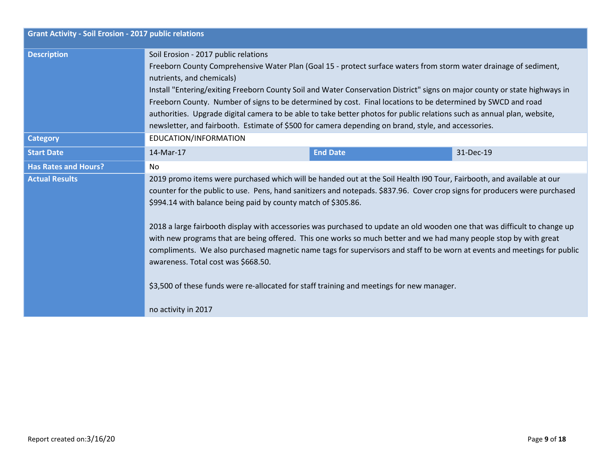| <b>Grant Activity - Soil Erosion - 2017 public relations</b> |                                                                                                                                                                                                                                                                                                                                                                                                                                                                                                                                                                                                                                                                                                                                                                                                                                                               |                 |           |  |  |
|--------------------------------------------------------------|---------------------------------------------------------------------------------------------------------------------------------------------------------------------------------------------------------------------------------------------------------------------------------------------------------------------------------------------------------------------------------------------------------------------------------------------------------------------------------------------------------------------------------------------------------------------------------------------------------------------------------------------------------------------------------------------------------------------------------------------------------------------------------------------------------------------------------------------------------------|-----------------|-----------|--|--|
| <b>Description</b>                                           | Soil Erosion - 2017 public relations<br>Freeborn County Comprehensive Water Plan (Goal 15 - protect surface waters from storm water drainage of sediment,<br>nutrients, and chemicals)<br>Install "Entering/exiting Freeborn County Soil and Water Conservation District" signs on major county or state highways in<br>Freeborn County. Number of signs to be determined by cost. Final locations to be determined by SWCD and road<br>authorities. Upgrade digital camera to be able to take better photos for public relations such as annual plan, website,<br>newsletter, and fairbooth. Estimate of \$500 for camera depending on brand, style, and accessories.                                                                                                                                                                                        |                 |           |  |  |
| <b>Category</b>                                              | EDUCATION/INFORMATION                                                                                                                                                                                                                                                                                                                                                                                                                                                                                                                                                                                                                                                                                                                                                                                                                                         |                 |           |  |  |
| <b>Start Date</b>                                            | 14-Mar-17                                                                                                                                                                                                                                                                                                                                                                                                                                                                                                                                                                                                                                                                                                                                                                                                                                                     | <b>End Date</b> | 31-Dec-19 |  |  |
| <b>Has Rates and Hours?</b>                                  | No                                                                                                                                                                                                                                                                                                                                                                                                                                                                                                                                                                                                                                                                                                                                                                                                                                                            |                 |           |  |  |
| <b>Actual Results</b>                                        | 2019 promo items were purchased which will be handed out at the Soil Health I90 Tour, Fairbooth, and available at our<br>counter for the public to use. Pens, hand sanitizers and notepads. \$837.96. Cover crop signs for producers were purchased<br>\$994.14 with balance being paid by county match of \$305.86.<br>2018 a large fairbooth display with accessories was purchased to update an old wooden one that was difficult to change up<br>with new programs that are being offered. This one works so much better and we had many people stop by with great<br>compliments. We also purchased magnetic name tags for supervisors and staff to be worn at events and meetings for public<br>awareness. Total cost was \$668.50.<br>\$3,500 of these funds were re-allocated for staff training and meetings for new manager.<br>no activity in 2017 |                 |           |  |  |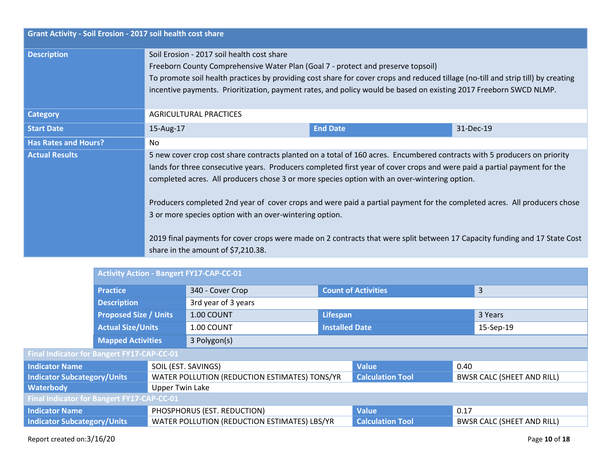| <b>Grant Activity - Soil Erosion - 2017 soil health cost share</b> |                                                                                                                                                                                                                                                                                                                                                                                                                                                                                                                                             |                 |           |  |  |
|--------------------------------------------------------------------|---------------------------------------------------------------------------------------------------------------------------------------------------------------------------------------------------------------------------------------------------------------------------------------------------------------------------------------------------------------------------------------------------------------------------------------------------------------------------------------------------------------------------------------------|-----------------|-----------|--|--|
| <b>Description</b>                                                 | Soil Erosion - 2017 soil health cost share<br>Freeborn County Comprehensive Water Plan (Goal 7 - protect and preserve topsoil)<br>To promote soil health practices by providing cost share for cover crops and reduced tillage (no-till and strip till) by creating<br>incentive payments. Prioritization, payment rates, and policy would be based on existing 2017 Freeborn SWCD NLMP.                                                                                                                                                    |                 |           |  |  |
| <b>Category</b>                                                    | AGRICULTURAL PRACTICES                                                                                                                                                                                                                                                                                                                                                                                                                                                                                                                      |                 |           |  |  |
| <b>Start Date</b>                                                  | 15-Aug-17                                                                                                                                                                                                                                                                                                                                                                                                                                                                                                                                   | <b>End Date</b> | 31-Dec-19 |  |  |
| <b>Has Rates and Hours?</b>                                        | No.                                                                                                                                                                                                                                                                                                                                                                                                                                                                                                                                         |                 |           |  |  |
| <b>Actual Results</b>                                              | 5 new cover crop cost share contracts planted on a total of 160 acres. Encumbered contracts with 5 producers on priority<br>lands for three consecutive years. Producers completed first year of cover crops and were paid a partial payment for the<br>completed acres. All producers chose 3 or more species option with an over-wintering option.<br>Producers completed 2nd year of cover crops and were paid a partial payment for the completed acres. All producers chose<br>3 or more species option with an over-wintering option. |                 |           |  |  |
|                                                                    | 2019 final payments for cover crops were made on 2 contracts that were split between 17 Capacity funding and 17 State Cost<br>share in the amount of \$7,210.38.                                                                                                                                                                                                                                                                                                                                                                            |                 |           |  |  |

|                                            | Activity Action - Bangert FY17-CAP-CC-01 |                        |                                               |                            |                         |      |                                   |
|--------------------------------------------|------------------------------------------|------------------------|-----------------------------------------------|----------------------------|-------------------------|------|-----------------------------------|
|                                            | <b>Practice</b>                          |                        | 340 - Cover Crop                              | <b>Count of Activities</b> |                         | 3    |                                   |
|                                            | <b>Description</b>                       |                        | 3rd year of 3 years                           |                            |                         |      |                                   |
|                                            | <b>Proposed Size / Units</b>             |                        | 1.00 COUNT                                    | Lifespan                   |                         |      | 3 Years                           |
|                                            | <b>Actual Size/Units</b>                 |                        | 1.00 COUNT                                    | <b>Installed Date</b>      |                         |      | 15-Sep-19                         |
|                                            | <b>Mapped Activities</b>                 |                        | 3 Polygon(s)                                  |                            |                         |      |                                   |
| Final Indicator for Bangert FY17-CAP-CC-01 |                                          |                        |                                               |                            |                         |      |                                   |
| <b>Indicator Name</b>                      |                                          | SOIL (EST. SAVINGS)    |                                               |                            | <b>Value</b>            | 0.40 |                                   |
| <b>Indicator Subcategory/Units</b>         |                                          |                        | WATER POLLUTION (REDUCTION ESTIMATES) TONS/YR |                            | <b>Calculation Tool</b> |      | <b>BWSR CALC (SHEET AND RILL)</b> |
| <b>Waterbody</b>                           |                                          | <b>Upper Twin Lake</b> |                                               |                            |                         |      |                                   |
| Final Indicator for Bangert FY17-CAP-CC-01 |                                          |                        |                                               |                            |                         |      |                                   |
| <b>Indicator Name</b>                      |                                          |                        | PHOSPHORUS (EST. REDUCTION)                   |                            | <b>Value</b>            | 0.17 |                                   |
| <b>Indicator Subcategory/Units</b>         |                                          |                        | WATER POLLUTION (REDUCTION ESTIMATES) LBS/YR  |                            | <b>Calculation Tool</b> |      | <b>BWSR CALC (SHEET AND RILL)</b> |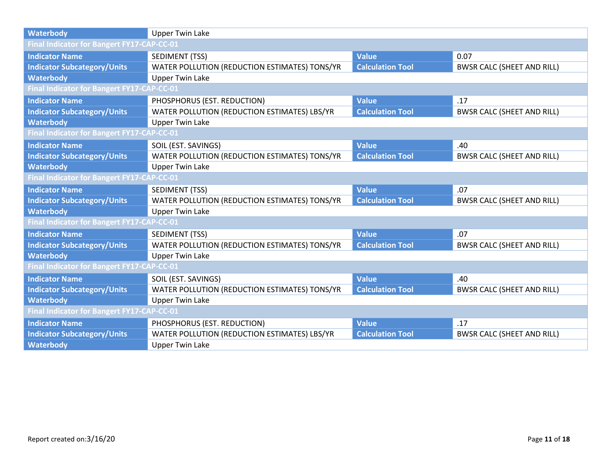| <b>Waterbody</b>                                  | <b>Upper Twin Lake</b>                        |                         |                                   |  |  |
|---------------------------------------------------|-----------------------------------------------|-------------------------|-----------------------------------|--|--|
| Final Indicator for Bangert FY17-CAP-CC-01        |                                               |                         |                                   |  |  |
| <b>Indicator Name</b>                             | SEDIMENT (TSS)                                | <b>Value</b>            | 0.07                              |  |  |
| <b>Indicator Subcategory/Units</b>                | WATER POLLUTION (REDUCTION ESTIMATES) TONS/YR | <b>Calculation Tool</b> | <b>BWSR CALC (SHEET AND RILL)</b> |  |  |
| <b>Waterbody</b>                                  | <b>Upper Twin Lake</b>                        |                         |                                   |  |  |
| Final Indicator for Bangert FY17-CAP-CC-01        |                                               |                         |                                   |  |  |
| <b>Indicator Name</b>                             | PHOSPHORUS (EST. REDUCTION)                   | <b>Value</b>            | .17                               |  |  |
| <b>Indicator Subcategory/Units</b>                | WATER POLLUTION (REDUCTION ESTIMATES) LBS/YR  | <b>Calculation Tool</b> | <b>BWSR CALC (SHEET AND RILL)</b> |  |  |
| <b>Waterbody</b>                                  | <b>Upper Twin Lake</b>                        |                         |                                   |  |  |
| <b>Final Indicator for Bangert FY17-CAP-CC-01</b> |                                               |                         |                                   |  |  |
| <b>Indicator Name</b>                             | SOIL (EST. SAVINGS)                           | <b>Value</b>            | .40                               |  |  |
| <b>Indicator Subcategory/Units</b>                | WATER POLLUTION (REDUCTION ESTIMATES) TONS/YR | <b>Calculation Tool</b> | <b>BWSR CALC (SHEET AND RILL)</b> |  |  |
| <b>Waterbody</b>                                  | <b>Upper Twin Lake</b>                        |                         |                                   |  |  |
| <b>Final Indicator for Bangert FY17-CAP-CC-01</b> |                                               |                         |                                   |  |  |
| <b>Indicator Name</b>                             | <b>SEDIMENT (TSS)</b>                         | <b>Value</b>            | .07                               |  |  |
| <b>Indicator Subcategory/Units</b>                | WATER POLLUTION (REDUCTION ESTIMATES) TONS/YR | <b>Calculation Tool</b> | <b>BWSR CALC (SHEET AND RILL)</b> |  |  |
| <b>Waterbody</b>                                  | <b>Upper Twin Lake</b>                        |                         |                                   |  |  |
| <b>Final Indicator for Bangert FY17-CAP-CC-01</b> |                                               |                         |                                   |  |  |
| <b>Indicator Name</b>                             | SEDIMENT (TSS)                                | <b>Value</b>            | .07                               |  |  |
| <b>Indicator Subcategory/Units</b>                | WATER POLLUTION (REDUCTION ESTIMATES) TONS/YR | <b>Calculation Tool</b> | <b>BWSR CALC (SHEET AND RILL)</b> |  |  |
| <b>Waterbody</b>                                  | <b>Upper Twin Lake</b>                        |                         |                                   |  |  |
| Final Indicator for Bangert FY17-CAP-CC-01        |                                               |                         |                                   |  |  |
| <b>Indicator Name</b>                             | SOIL (EST. SAVINGS)                           | <b>Value</b>            | .40                               |  |  |
| <b>Indicator Subcategory/Units</b>                | WATER POLLUTION (REDUCTION ESTIMATES) TONS/YR | <b>Calculation Tool</b> | <b>BWSR CALC (SHEET AND RILL)</b> |  |  |
| <b>Waterbody</b>                                  | <b>Upper Twin Lake</b>                        |                         |                                   |  |  |
| <b>Final Indicator for Bangert FY17-CAP-CC-01</b> |                                               |                         |                                   |  |  |
| <b>Indicator Name</b>                             | PHOSPHORUS (EST. REDUCTION)                   | <b>Value</b>            | .17                               |  |  |
| <b>Indicator Subcategory/Units</b>                | WATER POLLUTION (REDUCTION ESTIMATES) LBS/YR  | <b>Calculation Tool</b> | <b>BWSR CALC (SHEET AND RILL)</b> |  |  |
| <b>Waterbody</b>                                  | <b>Upper Twin Lake</b>                        |                         |                                   |  |  |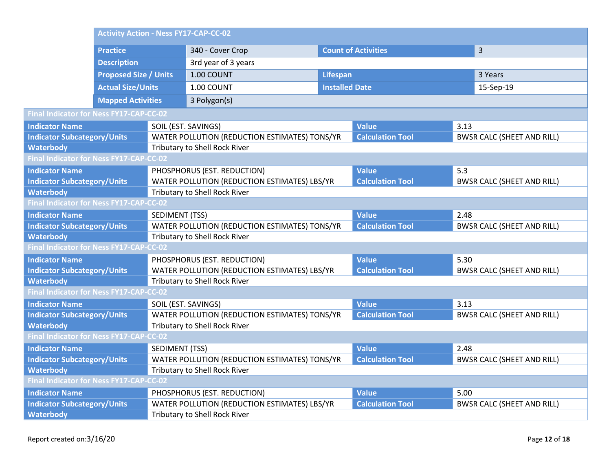|                                                | <b>Activity Action - Ness FY17-CAP-CC-02</b> |                               |                                               |                            |                         |                                   |                                   |
|------------------------------------------------|----------------------------------------------|-------------------------------|-----------------------------------------------|----------------------------|-------------------------|-----------------------------------|-----------------------------------|
|                                                | <b>Practice</b>                              |                               | 340 - Cover Crop                              | <b>Count of Activities</b> |                         |                                   | 3                                 |
|                                                | <b>Description</b>                           |                               | 3rd year of 3 years                           |                            |                         |                                   |                                   |
|                                                | <b>Proposed Size / Units</b>                 |                               | 1.00 COUNT                                    | <b>Lifespan</b>            |                         |                                   | 3 Years                           |
|                                                | <b>Actual Size/Units</b>                     |                               | 1.00 COUNT                                    | <b>Installed Date</b>      |                         |                                   | 15-Sep-19                         |
|                                                | <b>Mapped Activities</b>                     |                               | 3 Polygon(s)                                  |                            |                         |                                   |                                   |
| Final Indicator for Ness FY17-CAP-CC-02        |                                              |                               |                                               |                            |                         |                                   |                                   |
| <b>Indicator Name</b>                          |                                              | SOIL (EST. SAVINGS)           |                                               |                            | <b>Value</b>            | 3.13                              |                                   |
| <b>Indicator Subcategory/Units</b>             |                                              |                               | WATER POLLUTION (REDUCTION ESTIMATES) TONS/YR |                            | <b>Calculation Tool</b> |                                   | <b>BWSR CALC (SHEET AND RILL)</b> |
| <b>Waterbody</b>                               |                                              |                               | Tributary to Shell Rock River                 |                            |                         |                                   |                                   |
| Final Indicator for Ness FY17-CAP-CC-02        |                                              |                               |                                               |                            |                         |                                   |                                   |
| <b>Indicator Name</b>                          |                                              |                               | PHOSPHORUS (EST. REDUCTION)                   |                            | <b>Value</b>            | 5.3                               |                                   |
| <b>Indicator Subcategory/Units</b>             |                                              |                               | WATER POLLUTION (REDUCTION ESTIMATES) LBS/YR  |                            | <b>Calculation Tool</b> |                                   | <b>BWSR CALC (SHEET AND RILL)</b> |
| <b>Waterbody</b>                               |                                              | Tributary to Shell Rock River |                                               |                            |                         |                                   |                                   |
| Final Indicator for Ness FY17-CAP-CC-02        |                                              |                               |                                               |                            |                         |                                   |                                   |
| <b>Indicator Name</b><br><b>SEDIMENT (TSS)</b> |                                              |                               |                                               | <b>Value</b>               | 2.48                    |                                   |                                   |
|                                                | <b>Indicator Subcategory/Units</b>           |                               | WATER POLLUTION (REDUCTION ESTIMATES) TONS/YR |                            | <b>Calculation Tool</b> |                                   | <b>BWSR CALC (SHEET AND RILL)</b> |
| <b>Waterbody</b>                               |                                              |                               | Tributary to Shell Rock River                 |                            |                         |                                   |                                   |
| Final Indicator for Ness FY17-CAP-CC-02        |                                              |                               |                                               |                            |                         |                                   |                                   |
| <b>Indicator Name</b>                          |                                              |                               | PHOSPHORUS (EST. REDUCTION)                   |                            | <b>Value</b><br>5.30    |                                   |                                   |
| <b>Indicator Subcategory/Units</b>             |                                              |                               | WATER POLLUTION (REDUCTION ESTIMATES) LBS/YR  |                            | <b>Calculation Tool</b> | <b>BWSR CALC (SHEET AND RILL)</b> |                                   |
| <b>Waterbody</b>                               |                                              |                               | Tributary to Shell Rock River                 |                            |                         |                                   |                                   |
| Final Indicator for Ness FY17-CAP-CC-02        |                                              |                               |                                               |                            |                         |                                   |                                   |
| <b>Indicator Name</b>                          |                                              | SOIL (EST. SAVINGS)           |                                               |                            | <b>Value</b>            | 3.13                              |                                   |
| <b>Indicator Subcategory/Units</b>             |                                              |                               | WATER POLLUTION (REDUCTION ESTIMATES) TONS/YR |                            | <b>Calculation Tool</b> |                                   | <b>BWSR CALC (SHEET AND RILL)</b> |
| <b>Waterbody</b>                               |                                              |                               | <b>Tributary to Shell Rock River</b>          |                            |                         |                                   |                                   |
| Final Indicator for Ness FY17-CAP-CC-02        |                                              |                               |                                               |                            |                         |                                   |                                   |
| <b>Indicator Name</b>                          |                                              | SEDIMENT (TSS)                |                                               |                            | <b>Value</b>            | 2.48                              |                                   |
| <b>Indicator Subcategory/Units</b>             |                                              |                               | WATER POLLUTION (REDUCTION ESTIMATES) TONS/YR |                            | <b>Calculation Tool</b> |                                   | <b>BWSR CALC (SHEET AND RILL)</b> |
| <b>Waterbody</b>                               |                                              |                               | <b>Tributary to Shell Rock River</b>          |                            |                         |                                   |                                   |
| Final Indicator for Ness FY17-CAP-CC-02        |                                              |                               |                                               |                            |                         |                                   |                                   |
| <b>Indicator Name</b>                          |                                              |                               | PHOSPHORUS (EST. REDUCTION)                   |                            | <b>Value</b>            | 5.00                              |                                   |
| <b>Indicator Subcategory/Units</b>             |                                              |                               | WATER POLLUTION (REDUCTION ESTIMATES) LBS/YR  |                            | <b>Calculation Tool</b> |                                   | <b>BWSR CALC (SHEET AND RILL)</b> |
| <b>Waterbody</b>                               |                                              |                               | <b>Tributary to Shell Rock River</b>          |                            |                         |                                   |                                   |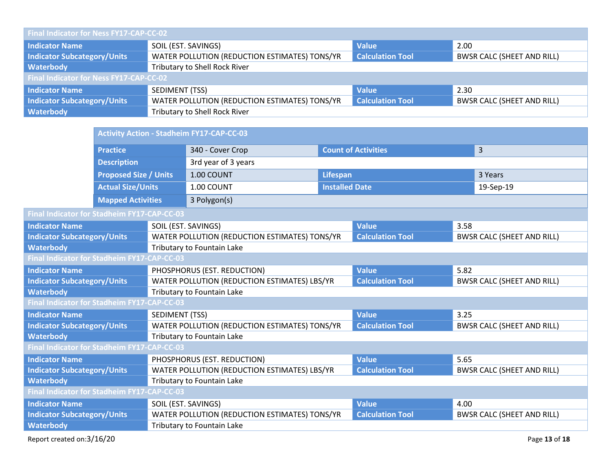| Final Indicator for Ness FY17-CAP-CC-02        |                                               |                         |                                   |  |  |
|------------------------------------------------|-----------------------------------------------|-------------------------|-----------------------------------|--|--|
| <b>Indicator Name</b>                          | SOIL (EST. SAVINGS)<br><b>Value</b>           |                         | 2.00                              |  |  |
| <b>Indicator Subcategory/Units</b>             | WATER POLLUTION (REDUCTION ESTIMATES) TONS/YR | <b>Calculation Tool</b> | <b>BWSR CALC (SHEET AND RILL)</b> |  |  |
| Waterbody                                      | <b>Tributary to Shell Rock River</b>          |                         |                                   |  |  |
| <b>Final Indicator for Ness FY17-CAP-CC-02</b> |                                               |                         |                                   |  |  |
| <b>Indicator Name</b>                          | SEDIMENT (TSS)                                | <b>Value</b>            | 2.30                              |  |  |
| <b>Indicator Subcategory/Units</b>             | WATER POLLUTION (REDUCTION ESTIMATES) TONS/YR | <b>Calculation Tool</b> | <b>BWSR CALC (SHEET AND RILL)</b> |  |  |
| Waterbody                                      | Tributary to Shell Rock River                 |                         |                                   |  |  |

|                                             |                              | <b>Activity Action - Stadheim FY17-CAP-CC-03</b> |                                                |                       |                         |                                   |                                   |  |
|---------------------------------------------|------------------------------|--------------------------------------------------|------------------------------------------------|-----------------------|-------------------------|-----------------------------------|-----------------------------------|--|
|                                             | <b>Practice</b>              |                                                  | <b>Count of Activities</b><br>340 - Cover Crop |                       |                         |                                   | 3                                 |  |
|                                             | <b>Description</b>           |                                                  | 3rd year of 3 years                            |                       |                         |                                   |                                   |  |
|                                             | <b>Proposed Size / Units</b> |                                                  | 1.00 COUNT                                     | <b>Lifespan</b>       |                         |                                   | 3 Years                           |  |
|                                             | <b>Actual Size/Units</b>     |                                                  | 1.00 COUNT                                     | <b>Installed Date</b> |                         |                                   | 19-Sep-19                         |  |
|                                             | <b>Mapped Activities</b>     |                                                  | 3 Polygon(s)                                   |                       |                         |                                   |                                   |  |
| Final Indicator for Stadheim FY17-CAP-CC-03 |                              |                                                  |                                                |                       |                         |                                   |                                   |  |
| <b>Indicator Name</b>                       |                              | SOIL (EST. SAVINGS)                              |                                                |                       | <b>Value</b>            | 3.58                              |                                   |  |
| <b>Indicator Subcategory/Units</b>          |                              |                                                  | WATER POLLUTION (REDUCTION ESTIMATES) TONS/YR  |                       | <b>Calculation Tool</b> |                                   | <b>BWSR CALC (SHEET AND RILL)</b> |  |
| <b>Waterbody</b>                            |                              |                                                  | Tributary to Fountain Lake                     |                       |                         |                                   |                                   |  |
| Final Indicator for Stadheim FY17-CAP-CC-03 |                              |                                                  |                                                |                       |                         |                                   |                                   |  |
| <b>Indicator Name</b>                       |                              | PHOSPHORUS (EST. REDUCTION)                      |                                                | <b>Value</b>          | 5.82                    |                                   |                                   |  |
| <b>Indicator Subcategory/Units</b>          |                              |                                                  | WATER POLLUTION (REDUCTION ESTIMATES) LBS/YR   |                       | <b>Calculation Tool</b> |                                   | <b>BWSR CALC (SHEET AND RILL)</b> |  |
| <b>Waterbody</b>                            |                              |                                                  | Tributary to Fountain Lake                     |                       |                         |                                   |                                   |  |
| Final Indicator for Stadheim FY17-CAP-CC-03 |                              |                                                  |                                                |                       |                         |                                   |                                   |  |
| <b>Indicator Name</b>                       |                              | SEDIMENT (TSS)                                   |                                                | <b>Value</b>          |                         | 3.25                              |                                   |  |
| <b>Indicator Subcategory/Units</b>          |                              |                                                  | WATER POLLUTION (REDUCTION ESTIMATES) TONS/YR  |                       | <b>Calculation Tool</b> |                                   | <b>BWSR CALC (SHEET AND RILL)</b> |  |
| <b>Waterbody</b>                            |                              |                                                  | Tributary to Fountain Lake                     |                       |                         |                                   |                                   |  |
| Final Indicator for Stadheim FY17-CAP-CC-03 |                              |                                                  |                                                |                       |                         |                                   |                                   |  |
| <b>Indicator Name</b>                       |                              |                                                  | PHOSPHORUS (EST. REDUCTION)                    |                       | <b>Value</b>            | 5.65                              |                                   |  |
| <b>Indicator Subcategory/Units</b>          |                              |                                                  | WATER POLLUTION (REDUCTION ESTIMATES) LBS/YR   |                       | <b>Calculation Tool</b> | <b>BWSR CALC (SHEET AND RILL)</b> |                                   |  |
| <b>Waterbody</b>                            |                              |                                                  | Tributary to Fountain Lake                     |                       |                         |                                   |                                   |  |
| Final Indicator for Stadheim FY17-CAP-CC-03 |                              |                                                  |                                                |                       |                         |                                   |                                   |  |
| <b>Indicator Name</b>                       |                              | SOIL (EST. SAVINGS)                              |                                                |                       | <b>Value</b>            | 4.00                              |                                   |  |
| <b>Indicator Subcategory/Units</b>          |                              |                                                  | WATER POLLUTION (REDUCTION ESTIMATES) TONS/YR  |                       | <b>Calculation Tool</b> |                                   | <b>BWSR CALC (SHEET AND RILL)</b> |  |
| <b>Waterbody</b>                            |                              |                                                  | Tributary to Fountain Lake                     |                       |                         |                                   |                                   |  |
|                                             |                              |                                                  |                                                |                       |                         |                                   |                                   |  |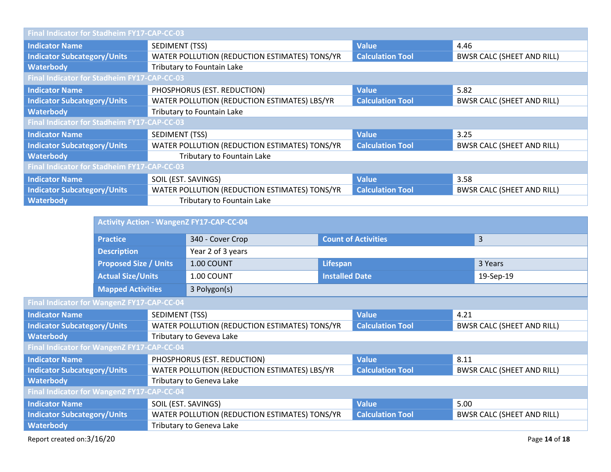| Final Indicator for Stadheim FY17-CAP-CC-03 |                                                                                                              |                         |                                   |  |  |
|---------------------------------------------|--------------------------------------------------------------------------------------------------------------|-------------------------|-----------------------------------|--|--|
| <b>Indicator Name</b>                       | <b>Value</b><br>SEDIMENT (TSS)<br>4.46                                                                       |                         |                                   |  |  |
| <b>Indicator Subcategory/Units</b>          | WATER POLLUTION (REDUCTION ESTIMATES) TONS/YR                                                                | <b>Calculation Tool</b> | <b>BWSR CALC (SHEET AND RILL)</b> |  |  |
| <b>Waterbody</b>                            | Tributary to Fountain Lake                                                                                   |                         |                                   |  |  |
| Final Indicator for Stadheim FY17-CAP-CC-03 |                                                                                                              |                         |                                   |  |  |
| <b>Indicator Name</b>                       | PHOSPHORUS (EST. REDUCTION)                                                                                  | <b>Value</b>            | 5.82                              |  |  |
| <b>Indicator Subcategory/Units</b>          | WATER POLLUTION (REDUCTION ESTIMATES) LBS/YR<br><b>Calculation Tool</b><br><b>BWSR CALC (SHEET AND RILL)</b> |                         |                                   |  |  |
| <b>Waterbody</b>                            | Tributary to Fountain Lake                                                                                   |                         |                                   |  |  |
|                                             | Final Indicator for Stadheim FY17-CAP-CC-03                                                                  |                         |                                   |  |  |
| <b>Indicator Name</b>                       | <b>Value</b><br>SEDIMENT (TSS)<br>3.25                                                                       |                         |                                   |  |  |
| <b>Indicator Subcategory/Units</b>          | WATER POLLUTION (REDUCTION ESTIMATES) TONS/YR                                                                | <b>Calculation Tool</b> | <b>BWSR CALC (SHEET AND RILL)</b> |  |  |
| <b>Waterbody</b>                            | Tributary to Fountain Lake                                                                                   |                         |                                   |  |  |
| Final Indicator for Stadheim FY17-CAP-CC-03 |                                                                                                              |                         |                                   |  |  |
| <b>Indicator Name</b>                       | SOIL (EST. SAVINGS)                                                                                          | <b>Value</b>            | 3.58                              |  |  |
| <b>Indicator Subcategory/Units</b>          | WATER POLLUTION (REDUCTION ESTIMATES) TONS/YR<br><b>Calculation Tool</b>                                     |                         | <b>BWSR CALC (SHEET AND RILL)</b> |  |  |
| <b>Waterbody</b>                            | Tributary to Fountain Lake                                                                                   |                         |                                   |  |  |

|                                                                                    | <b>Activity Action - WangenZ FY17-CAP-CC-04</b> |                                               |                          |                            |                                   |                |                                   |
|------------------------------------------------------------------------------------|-------------------------------------------------|-----------------------------------------------|--------------------------|----------------------------|-----------------------------------|----------------|-----------------------------------|
|                                                                                    | <b>Practice</b>                                 |                                               | 340 - Cover Crop         | <b>Count of Activities</b> |                                   | $\overline{3}$ |                                   |
|                                                                                    | <b>Description</b>                              |                                               | Year 2 of 3 years        |                            |                                   |                |                                   |
|                                                                                    | <b>Proposed Size / Units</b>                    |                                               | 1.00 COUNT               | Lifespan                   |                                   | 3 Years        |                                   |
|                                                                                    | <b>Actual Size/Units</b>                        |                                               | 1.00 COUNT               | <b>Installed Date</b>      |                                   | 19-Sep-19      |                                   |
|                                                                                    | <b>Mapped Activities</b>                        |                                               | 3 Polygon(s)             |                            |                                   |                |                                   |
| Final Indicator for WangenZ FY17-CAP-CC-04                                         |                                                 |                                               |                          |                            |                                   |                |                                   |
| <b>Indicator Name</b>                                                              | SEDIMENT (TSS)                                  |                                               |                          |                            | <b>Value</b>                      | 4.21           |                                   |
| <b>Indicator Subcategory/Units</b>                                                 |                                                 | WATER POLLUTION (REDUCTION ESTIMATES) TONS/YR |                          |                            | <b>Calculation Tool</b>           |                | <b>BWSR CALC (SHEET AND RILL)</b> |
| <b>Waterbody</b>                                                                   |                                                 | Tributary to Geveva Lake                      |                          |                            |                                   |                |                                   |
| Final Indicator for WangenZ FY17-CAP-CC-04                                         |                                                 |                                               |                          |                            |                                   |                |                                   |
| PHOSPHORUS (EST. REDUCTION)<br><b>Indicator Name</b>                               |                                                 |                                               |                          | <b>Value</b>               | 8.11                              |                |                                   |
| WATER POLLUTION (REDUCTION ESTIMATES) LBS/YR<br><b>Indicator Subcategory/Units</b> |                                                 |                                               | <b>Calculation Tool</b>  |                            | <b>BWSR CALC (SHEET AND RILL)</b> |                |                                   |
| <b>Waterbody</b>                                                                   |                                                 |                                               | Tributary to Geneva Lake |                            |                                   |                |                                   |

**Waterbody Final Indicator for WangenZ FY17-CAP-CC-04 Indicator Name 6.00 SOIL (EST. SAVINGS) Value** 5.00 **Value** 5.00 **Value** 5.00 **Indicator Subcategory/Units WATER POLLUTION (REDUCTION ESTIMATES) TONS/YR Calculation Tool BWSI INDICATER POLLUTION (REDUCTION ESTIMATES) TONS/YR Calculation Tool BWSR CALC (SHEET AND RILL)** 

**Waterbody Waterbody Tributary to Geneva Lake** 

**Final Indicat** 

**Waterbody**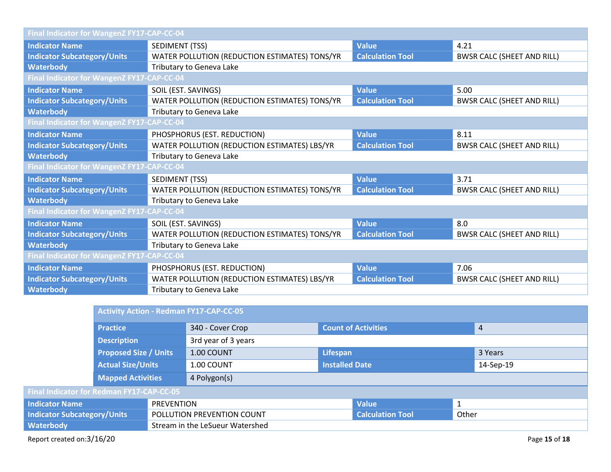| Final Indicator for WangenZ FY17-CAP-CC-04 |                                               |                         |                                   |  |  |
|--------------------------------------------|-----------------------------------------------|-------------------------|-----------------------------------|--|--|
| <b>Indicator Name</b>                      | <b>Value</b><br>4.21<br>SEDIMENT (TSS)        |                         |                                   |  |  |
| <b>Indicator Subcategory/Units</b>         | WATER POLLUTION (REDUCTION ESTIMATES) TONS/YR | <b>Calculation Tool</b> | <b>BWSR CALC (SHEET AND RILL)</b> |  |  |
| Waterbody                                  | Tributary to Geneva Lake                      |                         |                                   |  |  |
|                                            | Final Indicator for WangenZ FY17-CAP-CC-04    |                         |                                   |  |  |
| <b>Indicator Name</b>                      | <b>Value</b><br>SOIL (EST. SAVINGS)<br>5.00   |                         |                                   |  |  |
| <b>Indicator Subcategory/Units</b>         | WATER POLLUTION (REDUCTION ESTIMATES) TONS/YR | <b>Calculation Tool</b> | <b>BWSR CALC (SHEET AND RILL)</b> |  |  |
| <b>Waterbody</b>                           | Tributary to Geneva Lake                      |                         |                                   |  |  |
| Final Indicator for WangenZ FY17-CAP-CC-04 |                                               |                         |                                   |  |  |
| <b>Indicator Name</b>                      | PHOSPHORUS (EST. REDUCTION)                   | <b>Value</b>            | 8.11                              |  |  |
| <b>Indicator Subcategory/Units</b>         | WATER POLLUTION (REDUCTION ESTIMATES) LBS/YR  | <b>Calculation Tool</b> | <b>BWSR CALC (SHEET AND RILL)</b> |  |  |
| <b>Waterbody</b>                           | Tributary to Geneva Lake                      |                         |                                   |  |  |
| Final Indicator for WangenZ FY17-CAP-CC-04 |                                               |                         |                                   |  |  |
| <b>Indicator Name</b>                      | SEDIMENT (TSS)                                | <b>Value</b>            | 3.71                              |  |  |
| <b>Indicator Subcategory/Units</b>         | WATER POLLUTION (REDUCTION ESTIMATES) TONS/YR | <b>Calculation Tool</b> | <b>BWSR CALC (SHEET AND RILL)</b> |  |  |
| <b>Waterbody</b>                           | Tributary to Geneva Lake                      |                         |                                   |  |  |
| Final Indicator for WangenZ FY17-CAP-CC-04 |                                               |                         |                                   |  |  |
| <b>Indicator Name</b>                      | SOIL (EST. SAVINGS)                           | <b>Value</b>            | 8.0                               |  |  |
| <b>Indicator Subcategory/Units</b>         | WATER POLLUTION (REDUCTION ESTIMATES) TONS/YR | <b>Calculation Tool</b> | <b>BWSR CALC (SHEET AND RILL)</b> |  |  |
| <b>Waterbody</b>                           | Tributary to Geneva Lake                      |                         |                                   |  |  |
| Final Indicator for WangenZ FY17-CAP-CC-04 |                                               |                         |                                   |  |  |
| <b>Indicator Name</b>                      | PHOSPHORUS (EST. REDUCTION)                   | <b>Value</b>            | 7.06                              |  |  |
| <b>Indicator Subcategory/Units</b>         | WATER POLLUTION (REDUCTION ESTIMATES) LBS/YR  | <b>Calculation Tool</b> | <b>BWSR CALC (SHEET AND RILL)</b> |  |  |
| <b>Waterbody</b>                           | Tributary to Geneva Lake                      |                         |                                   |  |  |

|                                                                  | <b>Activity Action - Redman FY17-CAP-CC-05</b> |                     |                         |              |                            |  |                |
|------------------------------------------------------------------|------------------------------------------------|---------------------|-------------------------|--------------|----------------------------|--|----------------|
|                                                                  | <b>Practice</b>                                |                     | 340 - Cover Crop        |              | <b>Count of Activities</b> |  | $\overline{4}$ |
| <b>Description</b>                                               |                                                | 3rd year of 3 years |                         |              |                            |  |                |
| <b>Proposed Size / Units</b>                                     |                                                | 1.00 COUNT          | Lifespan                |              | 3 Years                    |  |                |
| <b>Actual Size/Units</b>                                         |                                                | 1.00 COUNT          | <b>Installed Date</b>   |              | 14-Sep-19                  |  |                |
| <b>Mapped Activities</b>                                         |                                                | 4 Polygon(s)        |                         |              |                            |  |                |
| Final Indicator for Redman FY17-CAP-CC-05                        |                                                |                     |                         |              |                            |  |                |
| <b>Indicator Name</b><br><b>PREVENTION</b>                       |                                                |                     |                         | <b>Value</b> |                            |  |                |
| <b>Indicator Subcategory/Units</b><br>POLLUTION PREVENTION COUNT |                                                |                     | <b>Calculation Tool</b> | Other        |                            |  |                |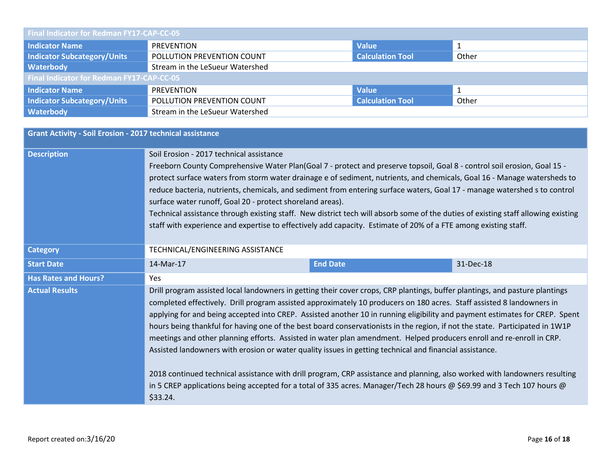| <b>Final Indicator for Redman FY17-CAP-CC-05</b> |                                                                |  |  |  |  |
|--------------------------------------------------|----------------------------------------------------------------|--|--|--|--|
| <b>Indicator Name</b>                            | <b>Value</b><br>PREVENTION                                     |  |  |  |  |
| <b>Indicator Subcategory/Units</b>               | <b>Calculation Tool</b><br>POLLUTION PREVENTION COUNT<br>Other |  |  |  |  |
| Waterbody                                        | Stream in the LeSueur Watershed                                |  |  |  |  |
| <b>Final Indicator for Redman FY17-CAP-CC-05</b> |                                                                |  |  |  |  |
| <b>Indicator Name</b>                            | <b>Value</b><br><b>PREVENTION</b>                              |  |  |  |  |
| <b>Indicator Subcategory/Units</b>               | <b>Calculation Tool</b><br>POLLUTION PREVENTION COUNT<br>Other |  |  |  |  |
| Waterbody                                        | Stream in the LeSueur Watershed                                |  |  |  |  |

| <b>Grant Activity - Soil Erosion - 2017 technical assistance</b> |                                                                                                                                                                                                                                                                                                                                                                                                                                                                                                                                                                                                                                                                                                                                                                                                                                                                                       |                                                                                                                        |  |  |  |
|------------------------------------------------------------------|---------------------------------------------------------------------------------------------------------------------------------------------------------------------------------------------------------------------------------------------------------------------------------------------------------------------------------------------------------------------------------------------------------------------------------------------------------------------------------------------------------------------------------------------------------------------------------------------------------------------------------------------------------------------------------------------------------------------------------------------------------------------------------------------------------------------------------------------------------------------------------------|------------------------------------------------------------------------------------------------------------------------|--|--|--|
| <b>Description</b>                                               | Soil Erosion - 2017 technical assistance<br>Freeborn County Comprehensive Water Plan(Goal 7 - protect and preserve topsoil, Goal 8 - control soil erosion, Goal 15 -<br>protect surface waters from storm water drainage e of sediment, nutrients, and chemicals, Goal 16 - Manage watersheds to<br>reduce bacteria, nutrients, chemicals, and sediment from entering surface waters, Goal 17 - manage watershed s to control<br>surface water runoff, Goal 20 - protect shoreland areas).<br>Technical assistance through existing staff. New district tech will absorb some of the duties of existing staff allowing existing<br>staff with experience and expertise to effectively add capacity. Estimate of 20% of a FTE among existing staff.                                                                                                                                    |                                                                                                                        |  |  |  |
| <b>Category</b>                                                  | TECHNICAL/ENGINEERING ASSISTANCE                                                                                                                                                                                                                                                                                                                                                                                                                                                                                                                                                                                                                                                                                                                                                                                                                                                      |                                                                                                                        |  |  |  |
| <b>Start Date</b>                                                | <b>End Date</b><br>14-Mar-17<br>31-Dec-18                                                                                                                                                                                                                                                                                                                                                                                                                                                                                                                                                                                                                                                                                                                                                                                                                                             |                                                                                                                        |  |  |  |
| <b>Has Rates and Hours?</b>                                      | Yes                                                                                                                                                                                                                                                                                                                                                                                                                                                                                                                                                                                                                                                                                                                                                                                                                                                                                   |                                                                                                                        |  |  |  |
| <b>Actual Results</b>                                            | Drill program assisted local landowners in getting their cover crops, CRP plantings, buffer plantings, and pasture plantings<br>completed effectively. Drill program assisted approximately 10 producers on 180 acres. Staff assisted 8 landowners in<br>applying for and being accepted into CREP. Assisted another 10 in running eligibility and payment estimates for CREP. Spent<br>hours being thankful for having one of the best board conservationists in the region, if not the state. Participated in 1W1P<br>meetings and other planning efforts. Assisted in water plan amendment. Helped producers enroll and re-enroll in CRP.<br>Assisted landowners with erosion or water quality issues in getting technical and financial assistance.<br>2018 continued technical assistance with drill program, CRP assistance and planning, also worked with landowners resulting |                                                                                                                        |  |  |  |
|                                                                  | \$33.24.                                                                                                                                                                                                                                                                                                                                                                                                                                                                                                                                                                                                                                                                                                                                                                                                                                                                              | in 5 CREP applications being accepted for a total of 335 acres. Manager/Tech 28 hours @ \$69.99 and 3 Tech 107 hours @ |  |  |  |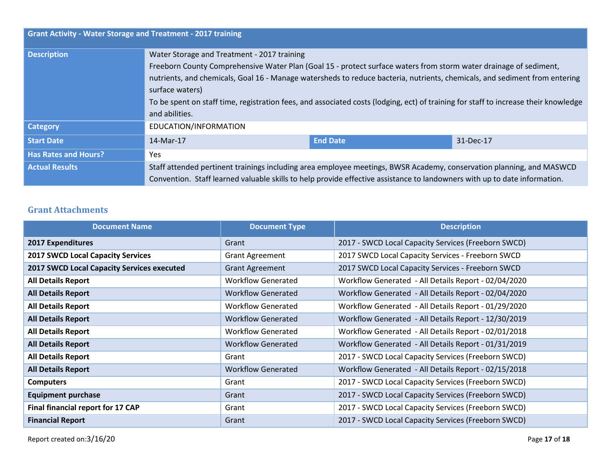| <b>Grant Activity - Water Storage and Treatment - 2017 training</b> |                                                                                                                                     |                                                                                                                   |           |  |  |
|---------------------------------------------------------------------|-------------------------------------------------------------------------------------------------------------------------------------|-------------------------------------------------------------------------------------------------------------------|-----------|--|--|
| <b>Description</b>                                                  | Water Storage and Treatment - 2017 training                                                                                         |                                                                                                                   |           |  |  |
|                                                                     |                                                                                                                                     | Freeborn County Comprehensive Water Plan (Goal 15 - protect surface waters from storm water drainage of sediment, |           |  |  |
|                                                                     | nutrients, and chemicals, Goal 16 - Manage watersheds to reduce bacteria, nutrients, chemicals, and sediment from entering          |                                                                                                                   |           |  |  |
|                                                                     | surface waters)                                                                                                                     |                                                                                                                   |           |  |  |
|                                                                     | To be spent on staff time, registration fees, and associated costs (lodging, ect) of training for staff to increase their knowledge |                                                                                                                   |           |  |  |
|                                                                     | and abilities.                                                                                                                      |                                                                                                                   |           |  |  |
| Category                                                            | EDUCATION/INFORMATION                                                                                                               |                                                                                                                   |           |  |  |
| <b>Start Date</b>                                                   | 14-Mar-17                                                                                                                           | <b>End Date</b>                                                                                                   | 31-Dec-17 |  |  |
| <b>Has Rates and Hours?</b>                                         | Yes                                                                                                                                 |                                                                                                                   |           |  |  |
| <b>Actual Results</b>                                               | Staff attended pertinent trainings including area employee meetings, BWSR Academy, conservation planning, and MASWCD                |                                                                                                                   |           |  |  |
|                                                                     | Convention. Staff learned valuable skills to help provide effective assistance to landowners with up to date information.           |                                                                                                                   |           |  |  |

## **Grant Attachments**

| <b>Document Name</b>                       | <b>Document Type</b>      | <b>Description</b>                                   |
|--------------------------------------------|---------------------------|------------------------------------------------------|
| <b>2017 Expenditures</b>                   | Grant                     | 2017 - SWCD Local Capacity Services (Freeborn SWCD)  |
| <b>2017 SWCD Local Capacity Services</b>   | <b>Grant Agreement</b>    | 2017 SWCD Local Capacity Services - Freeborn SWCD    |
| 2017 SWCD Local Capacity Services executed | <b>Grant Agreement</b>    | 2017 SWCD Local Capacity Services - Freeborn SWCD    |
| <b>All Details Report</b>                  | <b>Workflow Generated</b> | Workflow Generated - All Details Report - 02/04/2020 |
| <b>All Details Report</b>                  | <b>Workflow Generated</b> | Workflow Generated - All Details Report - 02/04/2020 |
| <b>All Details Report</b>                  | <b>Workflow Generated</b> | Workflow Generated - All Details Report - 01/29/2020 |
| <b>All Details Report</b>                  | <b>Workflow Generated</b> | Workflow Generated - All Details Report - 12/30/2019 |
| <b>All Details Report</b>                  | <b>Workflow Generated</b> | Workflow Generated - All Details Report - 02/01/2018 |
| <b>All Details Report</b>                  | <b>Workflow Generated</b> | Workflow Generated - All Details Report - 01/31/2019 |
| <b>All Details Report</b>                  | Grant                     | 2017 - SWCD Local Capacity Services (Freeborn SWCD)  |
| <b>All Details Report</b>                  | <b>Workflow Generated</b> | Workflow Generated - All Details Report - 02/15/2018 |
| <b>Computers</b>                           | Grant                     | 2017 - SWCD Local Capacity Services (Freeborn SWCD)  |
| <b>Equipment purchase</b>                  | Grant                     | 2017 - SWCD Local Capacity Services (Freeborn SWCD)  |
| Final financial report for 17 CAP          | Grant                     | 2017 - SWCD Local Capacity Services (Freeborn SWCD)  |
| <b>Financial Report</b>                    | Grant                     | 2017 - SWCD Local Capacity Services (Freeborn SWCD)  |